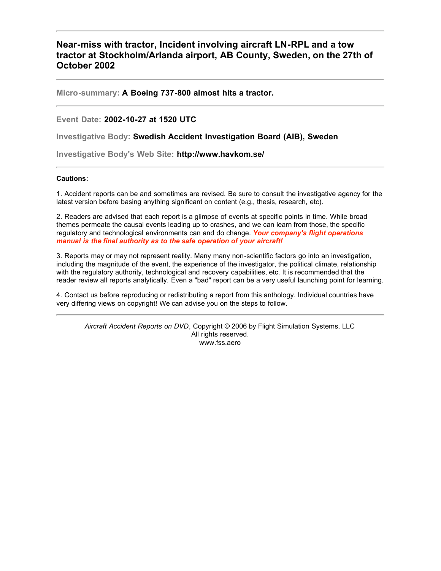## **Near-miss with tractor, Incident involving aircraft LN-RPL and a tow tractor at Stockholm/Arlanda airport, AB County, Sweden, on the 27th of October 2002**

**Micro-summary: A Boeing 737-800 almost hits a tractor.**

#### **Event Date: 2002-10-27 at 1520 UTC**

**Investigative Body: Swedish Accident Investigation Board (AIB), Sweden**

**Investigative Body's Web Site: http://www.havkom.se/**

#### **Cautions:**

1. Accident reports can be and sometimes are revised. Be sure to consult the investigative agency for the latest version before basing anything significant on content (e.g., thesis, research, etc).

2. Readers are advised that each report is a glimpse of events at specific points in time. While broad themes permeate the causal events leading up to crashes, and we can learn from those, the specific regulatory and technological environments can and do change. *Your company's flight operations manual is the final authority as to the safe operation of your aircraft!*

3. Reports may or may not represent reality. Many many non-scientific factors go into an investigation, including the magnitude of the event, the experience of the investigator, the political climate, relationship with the regulatory authority, technological and recovery capabilities, etc. It is recommended that the reader review all reports analytically. Even a "bad" report can be a very useful launching point for learning.

4. Contact us before reproducing or redistributing a report from this anthology. Individual countries have very differing views on copyright! We can advise you on the steps to follow.

*Aircraft Accident Reports on DVD*, Copyright © 2006 by Flight Simulation Systems, LLC All rights reserved. www.fss.aero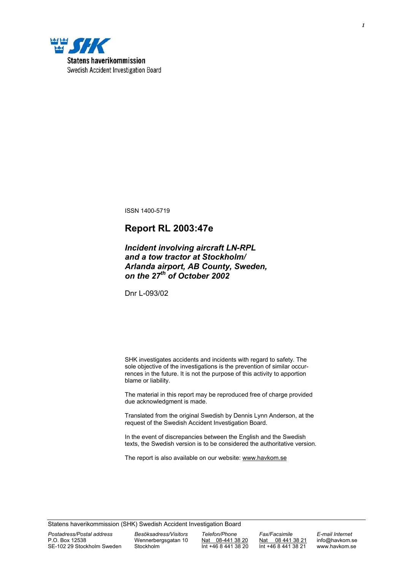

ISSN 1400-5719

# **Report RL 2003:47e**

### *Incident involving aircraft LN-RPL and a tow tractor at Stockholm/ Arlanda airport, AB County, Sweden, on the 27th of October 2002*

Dnr L-093/02

SHK investigates accidents and incidents with regard to safety. The sole objective of the investigations is the prevention of similar occurrences in the future. It is not the purpose of this activity to apportion blame or liability.

The material in this report may be reproduced free of charge provided due acknowledgment is made.

Translated from the original Swedish by Dennis Lynn Anderson, at the request of the Swedish Accident Investigation Board.

In the event of discrepancies between the English and the Swedish texts, the Swedish version is to be considered the authoritative version.

The report is also available on our website: www.havkom.se

Statens haverikommission (SHK) Swedish Accident Investigation Board

*Postadress/Postal address Besöksadress/Visitors Telefon/Phone Fax/Facsimile E-mail Internet*  SE-102 29 Stockholm Sweden

Wennerbergsgatan 10  $\underline{Nat}$  08-441 38 20  $\underline{Nat}$  08 441 38 21 info@havkom.se<br>Stockholm Int +46 8 441 38 20 Int +46 8 441 38 21 www.havkom.se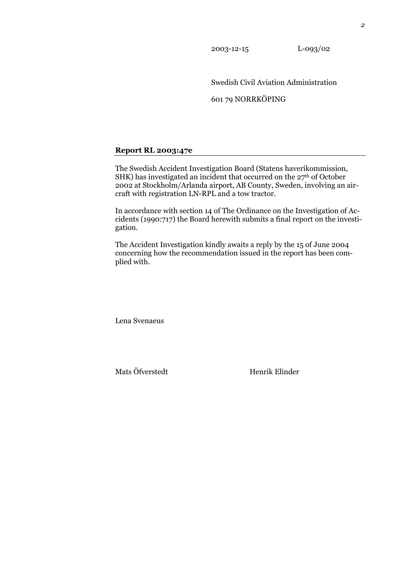2003-12-15 L-093/02

Swedish Civil Aviation Administration

601 79 NORRKÖPING

#### **Report RL 2003:47e**

The Swedish Accident Investigation Board (Statens haverikommission, SHK) has investigated an incident that occurred on the 27<sup>th</sup> of October 2002 at Stockholm/Arlanda airport, AB County, Sweden, involving an aircraft with registration LN-RPL and a tow tractor.

In accordance with section 14 of The Ordinance on the Investigation of Accidents (1990:717) the Board herewith submits a final report on the investigation.

The Accident Investigation kindly awaits a reply by the 15 of June 2004 concerning how the recommendation issued in the report has been complied with.

Lena Svenaeus

Mats Öfverstedt Henrik Elinder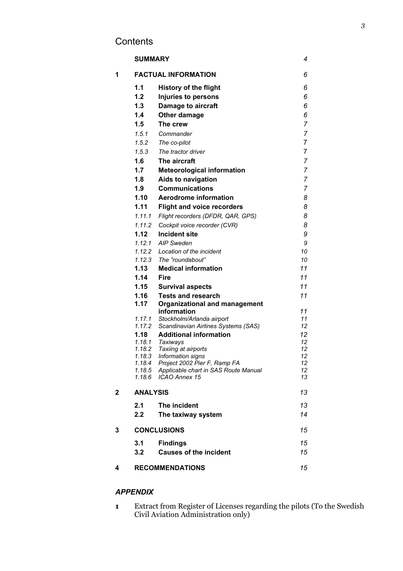# **Contents**

|   | <b>SUMMARY</b>   |                                                   | 4              |
|---|------------------|---------------------------------------------------|----------------|
| 1 |                  | <b>FACTUAL INFORMATION</b>                        | 6              |
|   | 1.1              | <b>History of the flight</b>                      | 6              |
|   | 1.2              | Injuries to persons                               | 6              |
|   | 1.3              | <b>Damage to aircraft</b>                         | 6              |
|   | 1.4              | Other damage                                      | 6              |
|   | 1.5              | The crew                                          | $\overline{7}$ |
|   | 1.5.1            | Commander                                         | $\overline{7}$ |
|   | 1.5.2            | The co-pilot                                      | 7              |
|   | 1.5.3            | The tractor driver                                | 7              |
|   | 1.6              | The aircraft                                      | 7              |
|   | 1.7              | <b>Meteorological information</b>                 | 7              |
|   | 1.8              | Aids to navigation                                | $\overline{7}$ |
|   | 1.9              | <b>Communications</b>                             | 7              |
|   | 1.10             | <b>Aerodrome information</b>                      | 8              |
|   | 1.11             | <b>Flight and voice recorders</b>                 | 8              |
|   |                  | 1.11.1 Flight recorders (DFDR, QAR, GPS)          | 8              |
|   |                  | 1.11.2 Cockpit voice recorder (CVR)               | 8              |
|   | 1.12             | <b>Incident site</b>                              | 9              |
|   |                  | 1.12.1 AIP Sweden                                 | 9              |
|   |                  | 1.12.2 Location of the incident                   | 10             |
|   |                  | 1.12.3 The "roundabout"                           | 10             |
|   | 1.13             | <b>Medical information</b>                        | 11             |
|   | 1.14             | <b>Fire</b>                                       | 11             |
|   | 1.15             | <b>Survival aspects</b>                           | 11             |
|   | 1.16             | <b>Tests and research</b>                         | 11             |
|   | 1.17             | <b>Organizational and management</b>              |                |
|   | 1.17.1           | information<br>Stockholm/Arlanda airport          | 11<br>11       |
|   | 1.17.2           | Scandinavian Airlines Systems (SAS)               | 12             |
|   | 1.18             | <b>Additional information</b>                     | 12             |
|   |                  | 1.18.1 Taxiways                                   | 12             |
|   |                  | 1.18.2 Taxiing at airports                        | 12             |
|   | 1.18.3<br>1.18.4 | Information signs<br>Project 2002 Pier F, Ramp FA | 12<br>12       |
|   | 1.18.5           | Applicable chart in SAS Route Manual              | 12             |
|   | 1.18.6           | <b>ICAO Annex 15</b>                              | 13             |
| 2 | <b>ANALYSIS</b>  |                                                   | 13             |
|   | 2.1              | The incident                                      | 13             |
|   | 2.2              | The taxiway system                                | 14             |
| 3 |                  | <b>CONCLUSIONS</b>                                | 15             |
|   | 3.1              | <b>Findings</b>                                   | 15             |
|   | 3.2              | <b>Causes of the incident</b>                     | 15             |
|   |                  |                                                   |                |
| 4 |                  | <b>RECOMMENDATIONS</b>                            | 15             |

## *APPENDIX*

**1** Extract from Register of Licenses regarding the pilots (To the Swedish Civil Aviation Administration only)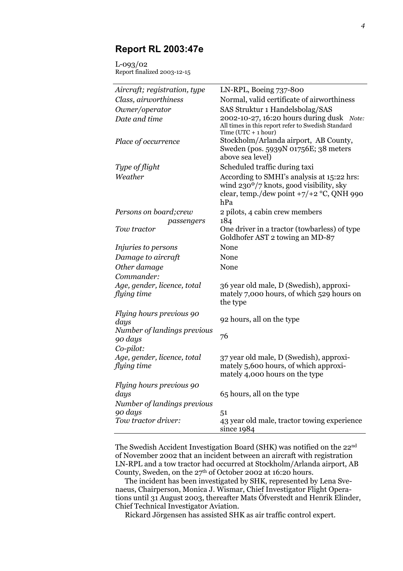# **Report RL 2003:47e**

L-093/02 Report finalized 2003-12-15

| Aircraft; registration, type               | LN-RPL, Boeing 737-800                                                                                                                                  |  |  |
|--------------------------------------------|---------------------------------------------------------------------------------------------------------------------------------------------------------|--|--|
| Class, airworthiness                       | Normal, valid certificate of airworthiness                                                                                                              |  |  |
| Owner/operator                             | SAS Struktur 1 Handelsbolag/SAS                                                                                                                         |  |  |
| Date and time                              | 2002-10-27, 16:20 hours during dusk Note:<br>All times in this report refer to Swedish Standard<br>Time ( $UTC + 1 hour$ )                              |  |  |
| Place of occurrence                        | Stockholm/Arlanda airport, AB County,<br>Sweden (pos. 5939N 01756E; 38 meters<br>above sea level)                                                       |  |  |
| Type of flight                             | Scheduled traffic during taxi                                                                                                                           |  |  |
| Weather                                    | According to SMHI's analysis at 15:22 hrs:<br>wind 230 <sup>o</sup> /7 knots, good visibility, sky<br>clear, temp./dew point $+7/+2$ °C, QNH 990<br>hPa |  |  |
| Persons on board; crew                     | 2 pilots, 4 cabin crew members                                                                                                                          |  |  |
| passengers                                 | 184                                                                                                                                                     |  |  |
| Tow tractor                                | One driver in a tractor (towbarless) of type<br>Goldhofer AST 2 towing an MD-87                                                                         |  |  |
| <i>Injuries to persons</i>                 | None                                                                                                                                                    |  |  |
| Damage to aircraft                         | None                                                                                                                                                    |  |  |
| Other damage                               | None                                                                                                                                                    |  |  |
| Commander:                                 |                                                                                                                                                         |  |  |
| Age, gender, licence, total                | 36 year old male, D (Swedish), approxi-                                                                                                                 |  |  |
| flying time                                | mately 7,000 hours, of which 529 hours on<br>the type                                                                                                   |  |  |
| Flying hours previous 90<br>days           | 92 hours, all on the type                                                                                                                               |  |  |
| Number of landings previous<br>90 days     | 76                                                                                                                                                      |  |  |
| Co-pilot:                                  |                                                                                                                                                         |  |  |
| Age, gender, licence, total<br>flying time | 37 year old male, D (Swedish), approxi-<br>mately 5,600 hours, of which approxi-<br>mately 4,000 hours on the type                                      |  |  |
| Flying hours previous 90                   |                                                                                                                                                         |  |  |
| days                                       | 65 hours, all on the type                                                                                                                               |  |  |
| Number of landings previous                |                                                                                                                                                         |  |  |
| 90 days                                    | 51                                                                                                                                                      |  |  |
| Tow tractor driver:                        | 43 year old male, tractor towing experience<br>since $1984$                                                                                             |  |  |

The Swedish Accident Investigation Board (SHK) was notified on the 22nd of November 2002 that an incident between an aircraft with registration LN-RPL and a tow tractor had occurred at Stockholm/Arlanda airport, AB County, Sweden, on the 27<sup>th</sup> of October 2002 at 16:20 hours.

The incident has been investigated by SHK, represented by Lena Svenaeus, Chairperson, Monica J. Wismar, Chief Investigator Flight Operations until 31 August 2003, thereafter Mats Öfverstedt and Henrik Elinder, Chief Technical Investigator Aviation.

Rickard Jörgensen has assisted SHK as air traffic control expert.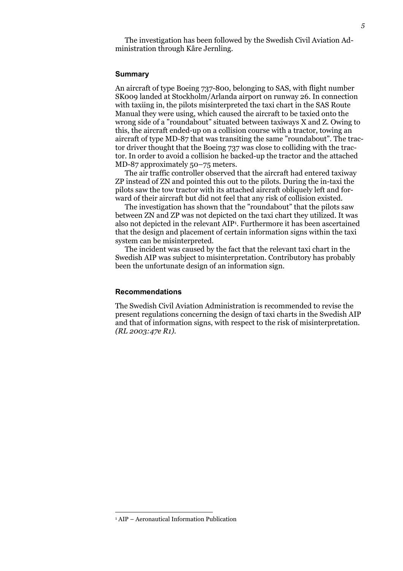The investigation has been followed by the Swedish Civil Aviation Administration through Kåre Jernling.

#### **Summary**

An aircraft of type Boeing 737-800, belonging to SAS, with flight number SK009 landed at Stockholm/Arlanda airport on runway 26. In connection with taxiing in, the pilots misinterpreted the taxi chart in the SAS Route Manual they were using, which caused the aircraft to be taxied onto the wrong side of a "roundabout" situated between taxiways X and Z. Owing to this, the aircraft ended-up on a collision course with a tractor, towing an aircraft of type MD-87 that was transiting the same "roundabout". The tractor driver thought that the Boeing 737 was close to colliding with the tractor. In order to avoid a collision he backed-up the tractor and the attached MD-87 approximately 50–75 meters.

The air traffic controller observed that the aircraft had entered taxiway ZP instead of ZN and pointed this out to the pilots. During the in-taxi the pilots saw the tow tractor with its attached aircraft obliquely left and forward of their aircraft but did not feel that any risk of collision existed.

The investigation has shown that the "roundabout" that the pilots saw between ZN and ZP was not depicted on the taxi chart they utilized. It was also not depicted in the relevant AIP1 . Furthermore it has been ascertained that the design and placement of certain information signs within the taxi system can be misinterpreted.

The incident was caused by the fact that the relevant taxi chart in the Swedish AIP was subject to misinterpretation. Contributory has probably been the unfortunate design of an information sign.

#### **Recommendations**

The Swedish Civil Aviation Administration is recommended to revise the present regulations concerning the design of taxi charts in the Swedish AIP and that of information signs, with respect to the risk of misinterpretation. *(RL 2003:47e R1).* 

 $\overline{a}$ 

<sup>1</sup> AIP – Aeronautical Information Publication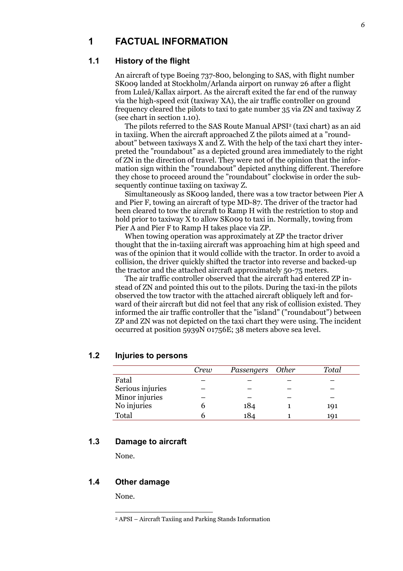## **1 FACTUAL INFORMATION**

## **1.1 History of the flight**

An aircraft of type Boeing 737-800, belonging to SAS, with flight number SK009 landed at Stockholm/Arlanda airport on runway 26 after a flight from Luleå/Kallax airport. As the aircraft exited the far end of the runway via the high-speed exit (taxiway XA), the air traffic controller on ground frequency cleared the pilots to taxi to gate number 35 via ZN and taxiway Z (see chart in section 1.10).

The pilots referred to the SAS Route Manual APSI<sup>2</sup> (taxi chart) as an aid in taxiing. When the aircraft approached Z the pilots aimed at a "roundabout" between taxiways X and Z. With the help of the taxi chart they interpreted the "roundabout" as a depicted ground area immediately to the right of ZN in the direction of travel. They were not of the opinion that the information sign within the "roundabout" depicted anything different. Therefore they chose to proceed around the "roundabout" clockwise in order the subsequently continue taxiing on taxiway Z.

Simultaneously as SK009 landed, there was a tow tractor between Pier A and Pier F, towing an aircraft of type MD-87. The driver of the tractor had been cleared to tow the aircraft to Ramp H with the restriction to stop and hold prior to taxiway X to allow SK009 to taxi in. Normally, towing from Pier A and Pier F to Ramp H takes place via ZP.

When towing operation was approximately at ZP the tractor driver thought that the in-taxiing aircraft was approaching him at high speed and was of the opinion that it would collide with the tractor. In order to avoid a collision, the driver quickly shifted the tractor into reverse and backed-up the tractor and the attached aircraft approximately 50-75 meters.

The air traffic controller observed that the aircraft had entered ZP instead of ZN and pointed this out to the pilots. During the taxi-in the pilots observed the tow tractor with the attached aircraft obliquely left and forward of their aircraft but did not feel that any risk of collision existed. They informed the air traffic controller that the "island" ("roundabout") between ZP and ZN was not depicted on the taxi chart they were using. The incident occurred at position 5939N 01756E; 38 meters above sea level.

|                  | Crew | Passengers Other | Total |
|------------------|------|------------------|-------|
| Fatal            |      |                  |       |
| Serious injuries |      |                  |       |
| Minor injuries   |      |                  |       |
| No injuries      |      | 184              | 191   |
| Total            |      | 184              | 191   |

### **1.2 Injuries to persons**

## **1.3 Damage to aircraft**

None.

#### **1.4 Other damage**

None.

 $\overline{a}$ 

<sup>2</sup> APSI – Aircraft Taxiing and Parking Stands Information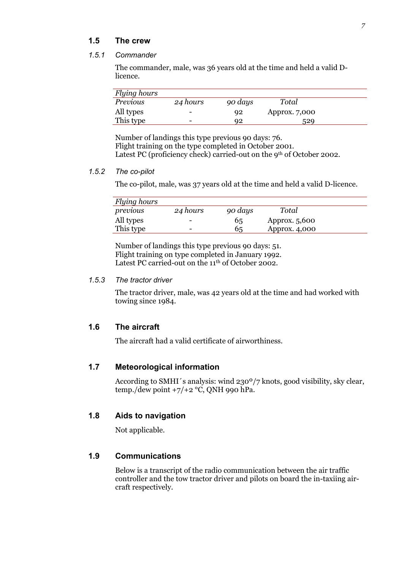### **1.5 The crew**

#### *1.5.1 Commander*

The commander, male, was 36 years old at the time and held a valid Dlicence.

| <b>Flying hours</b> |                          |         |               |  |
|---------------------|--------------------------|---------|---------------|--|
| <i>Previous</i>     | 24 hours                 | 90 days | Total         |  |
| All types           | $\overline{\phantom{0}}$ | 92      | Approx. 7,000 |  |
| This type           | $\overline{\phantom{0}}$ | 92      | 529           |  |

Number of landings this type previous 90 days: 76. Flight training on the type completed in October 2001. Latest PC (proficiency check) carried-out on the 9<sup>th</sup> of October 2002.

#### *1.5.2 The co-pilot*

The co-pilot, male, was 37 years old at the time and held a valid D-licence.

| <b>Flying hours</b> |          |         |               |  |
|---------------------|----------|---------|---------------|--|
| previous            | 24 hours | 90 days | Total         |  |
| All types           | -        | 65      | Approx. 5,600 |  |
| This type           | -        | 65      | Approx. 4,000 |  |

Number of landings this type previous 90 days: 51. Flight training on type completed in January 1992. Latest PC carried-out on the 11<sup>th</sup> of October 2002.

#### *1.5.3 The tractor driver*

The tractor driver, male, was 42 years old at the time and had worked with towing since 1984.

## **1.6 The aircraft**

The aircraft had a valid certificate of airworthiness.

### **1.7 Meteorological information**

According to SMHI´s analysis: wind 230º/7 knots, good visibility, sky clear, temp./dew point  $+7/+2$  °C, QNH 990 hPa.

### **1.8 Aids to navigation**

Not applicable.

### **1.9 Communications**

Below is a transcript of the radio communication between the air traffic controller and the tow tractor driver and pilots on board the in-taxiing aircraft respectively.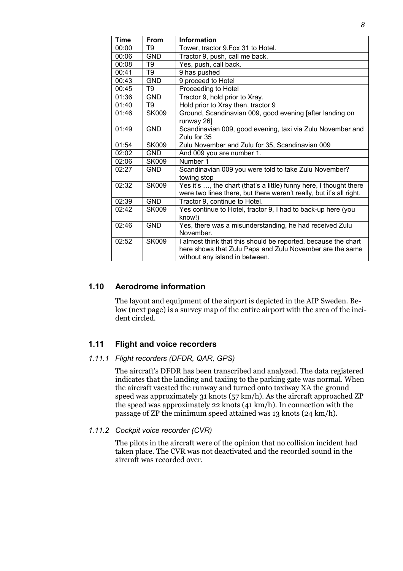| <b>Time</b> | <b>From</b>    | <b>Information</b>                                                                                                                                           |
|-------------|----------------|--------------------------------------------------------------------------------------------------------------------------------------------------------------|
| 00:00       | T9             | Tower, tractor 9. Fox 31 to Hotel.                                                                                                                           |
| 00:06       | <b>GND</b>     | Tractor 9, push, call me back.                                                                                                                               |
| 00:08       | T <sub>9</sub> | Yes, push, call back.                                                                                                                                        |
| 00:41       | T9             | 9 has pushed                                                                                                                                                 |
| 00:43       | <b>GND</b>     | 9 proceed to Hotel                                                                                                                                           |
| 00:45       | T9             | Proceeding to Hotel                                                                                                                                          |
| 01:36       | <b>GND</b>     | Tractor 9, hold prior to Xray.                                                                                                                               |
| 01:40       | T <sub>9</sub> | Hold prior to Xray then, tractor 9                                                                                                                           |
| 01:46       | <b>SK009</b>   | Ground, Scandinavian 009, good evening [after landing on<br>runway 26]                                                                                       |
| 01:49       | <b>GND</b>     | Scandinavian 009, good evening, taxi via Zulu November and<br>Zulu for 35                                                                                    |
| 01:54       | <b>SK009</b>   | Zulu November and Zulu for 35, Scandinavian 009                                                                                                              |
| 02:02       | <b>GND</b>     | And 009 you are number 1.                                                                                                                                    |
| 02:06       | <b>SK009</b>   | Number 1                                                                                                                                                     |
| 02:27       | <b>GND</b>     | Scandinavian 009 you were told to take Zulu November?<br>towing stop                                                                                         |
| 02:32       | <b>SK009</b>   | Yes it's , the chart (that's a little) funny here, I thought there<br>were two lines there, but there weren't really, but it's all right.                    |
| 02:39       | <b>GND</b>     | Tractor 9, continue to Hotel.                                                                                                                                |
| 02:42       | <b>SK009</b>   | Yes continue to Hotel, tractor 9, I had to back-up here (you<br>know!)                                                                                       |
| 02:46       | <b>GND</b>     | Yes, there was a misunderstanding, he had received Zulu<br>November.                                                                                         |
| 02:52       | <b>SK009</b>   | I almost think that this should be reported, because the chart<br>here shows that Zulu Papa and Zulu November are the same<br>without any island in between. |

## **1.10 Aerodrome information**

The layout and equipment of the airport is depicted in the AIP Sweden. Below (next page) is a survey map of the entire airport with the area of the incident circled.

## **1.11 Flight and voice recorders**

#### *1.11.1 Flight recorders (DFDR, QAR, GPS)*

The aircraft's DFDR has been transcribed and analyzed. The data registered indicates that the landing and taxiing to the parking gate was normal. When the aircraft vacated the runway and turned onto taxiway XA the ground speed was approximately 31 knots (57 km/h). As the aircraft approached ZP the speed was approximately 22 knots (41 km/h). In connection with the passage of ZP the minimum speed attained was 13 knots (24 km/h).

#### *1.11.2 Cockpit voice recorder (CVR)*

The pilots in the aircraft were of the opinion that no collision incident had taken place. The CVR was not deactivated and the recorded sound in the aircraft was recorded over.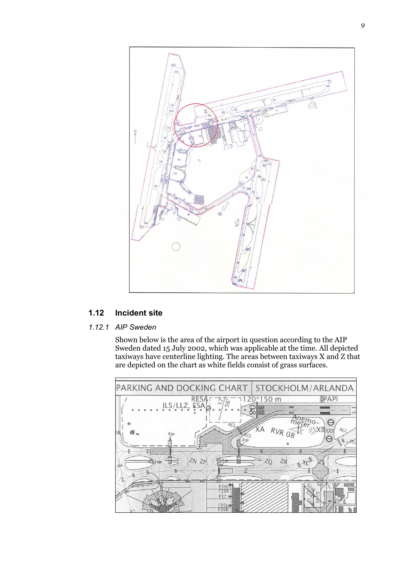

## **1.12 Incident site**

## *1.12.1 AIP Sweden*

Shown below is the area of the airport in question according to the AIP Sweden dated 15 July 2002, which was applicable at the time. All depicted taxiways have centerline lighting. The areas between taxiways X and Z that are depicted on the chart as white fields consist of grass surfaces.

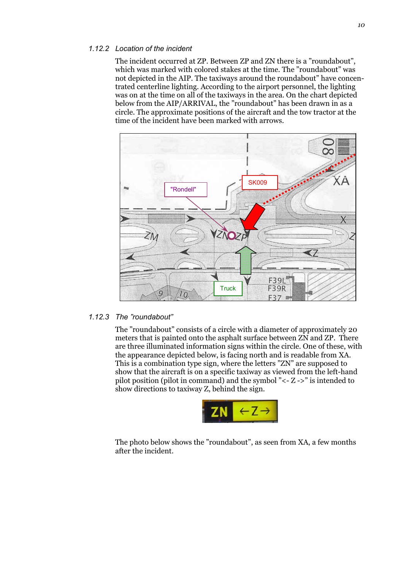#### *1.12.2 Location of the incident*

The incident occurred at ZP. Between ZP and ZN there is a "roundabout", which was marked with colored stakes at the time. The "roundabout" was not depicted in the AIP. The taxiways around the roundabout" have concentrated centerline lighting. According to the airport personnel, the lighting was on at the time on all of the taxiways in the area. On the chart depicted below from the AIP/ARRIVAL, the "roundabout" has been drawn in as a circle. The approximate positions of the aircraft and the tow tractor at the time of the incident have been marked with arrows.



#### *1.12.3 The "roundabout"*

The "roundabout" consists of a circle with a diameter of approximately 20 meters that is painted onto the asphalt surface between ZN and ZP. There are three illuminated information signs within the circle. One of these, with the appearance depicted below, is facing north and is readable from XA. This is a combination type sign, where the letters "ZN" are supposed to show that the aircraft is on a specific taxiway as viewed from the left-hand pilot position (pilot in command) and the symbol "<- Z ->" is intended to show directions to taxiway Z, behind the sign.



The photo below shows the "roundabout", as seen from XA, a few months after the incident.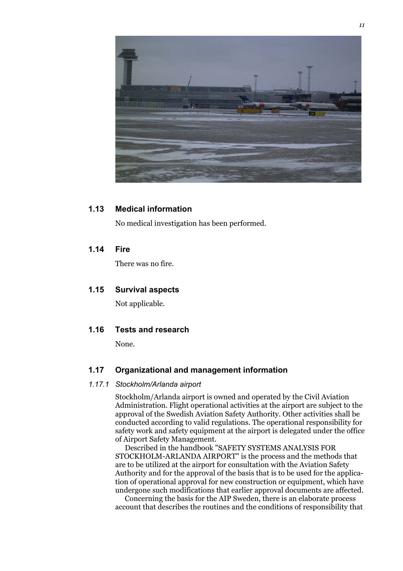

### **1.13 Medical information**

No medical investigation has been performed.

### **1.14 Fire**

There was no fire.

### **1.15 Survival aspects**

Not applicable.

#### **1.16 Tests and research**

None.

### **1.17 Organizational and management information**

#### *1.17.1 Stockholm/Arlanda airport*

Stockholm/Arlanda airport is owned and operated by the Civil Aviation Administration. Flight operational activities at the airport are subject to the approval of the Swedish Aviation Safety Authority. Other activities shall be conducted according to valid regulations. The operational responsibility for safety work and safety equipment at the airport is delegated under the office of Airport Safety Management.

Described in the handbook "SAFETY SYSTEMS ANALYSIS FOR STOCKHOLM-ARLANDA AIRPORT" is the process and the methods that are to be utilized at the airport for consultation with the Aviation Safety Authority and for the approval of the basis that is to be used for the application of operational approval for new construction or equipment, which have undergone such modifications that earlier approval documents are affected.

Concerning the basis for the AIP Sweden, there is an elaborate process account that describes the routines and the conditions of responsibility that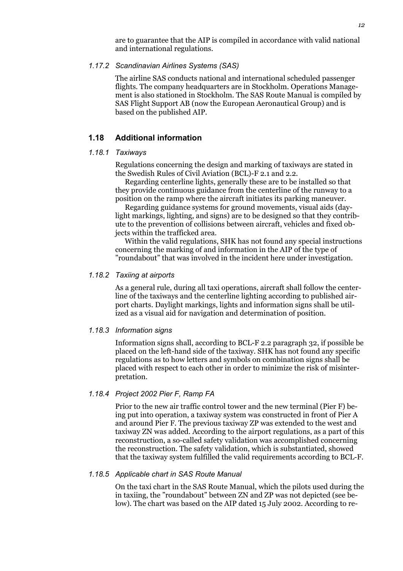are to guarantee that the AIP is compiled in accordance with valid national and international regulations.

#### *1.17.2 Scandinavian Airlines Systems (SAS)*

The airline SAS conducts national and international scheduled passenger flights. The company headquarters are in Stockholm. Operations Management is also stationed in Stockholm. The SAS Route Manual is compiled by SAS Flight Support AB (now the European Aeronautical Group) and is based on the published AIP.

### **1.18 Additional information**

#### *1.18.1 Taxiways*

Regulations concerning the design and marking of taxiways are stated in the Swedish Rules of Civil Aviation (BCL)-F 2.1 and 2.2.

Regarding centerline lights, generally these are to be installed so that they provide continuous guidance from the centerline of the runway to a position on the ramp where the aircraft initiates its parking maneuver.

Regarding guidance systems for ground movements, visual aids (daylight markings, lighting, and signs) are to be designed so that they contribute to the prevention of collisions between aircraft, vehicles and fixed objects within the trafficked area.

Within the valid regulations, SHK has not found any special instructions concerning the marking of and information in the AIP of the type of "roundabout" that was involved in the incident here under investigation.

#### *1.18.2 Taxiing at airports*

As a general rule, during all taxi operations, aircraft shall follow the centerline of the taxiways and the centerline lighting according to published airport charts. Daylight markings, lights and information signs shall be utilized as a visual aid for navigation and determination of position.

#### *1.18.3 Information signs*

Information signs shall, according to BCL-F 2.2 paragraph 32, if possible be placed on the left-hand side of the taxiway. SHK has not found any specific regulations as to how letters and symbols on combination signs shall be placed with respect to each other in order to minimize the risk of misinterpretation.

#### *1.18.4 Project 2002 Pier F, Ramp FA*

Prior to the new air traffic control tower and the new terminal (Pier F) being put into operation, a taxiway system was constructed in front of Pier A and around Pier F. The previous taxiway ZP was extended to the west and taxiway ZN was added. According to the airport regulations, as a part of this reconstruction, a so-called safety validation was accomplished concerning the reconstruction. The safety validation, which is substantiated, showed that the taxiway system fulfilled the valid requirements according to BCL-F.

#### *1.18.5 Applicable chart in SAS Route Manual*

On the taxi chart in the SAS Route Manual, which the pilots used during the in taxiing, the "roundabout" between ZN and ZP was not depicted (see below). The chart was based on the AIP dated 15 July 2002. According to re-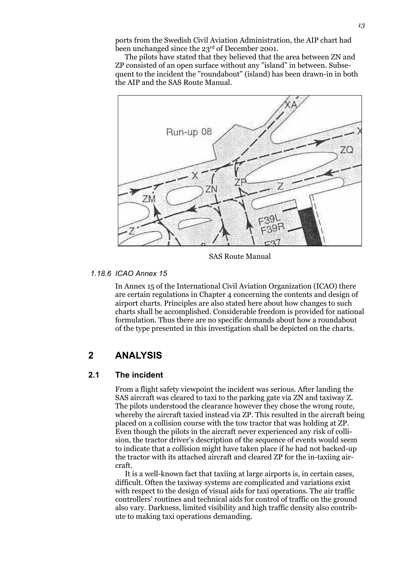ports from the Swedish Civil Aviation Administration, the AIP chart had been unchanged since the 23<sup>rd</sup> of December 2001.

The pilots have stated that they believed that the area between ZN and ZP consisted of an open surface without any "island" in between. Subsequent to the incident the "roundabout" (island) has been drawn-in in both the AIP and the SAS Route Manual.



SAS Route Manual

#### *1.18.6 ICAO Annex 15*

In Annex 15 of the International Civil Aviation Organization (ICAO) there are certain regulations in Chapter 4 concerning the contents and design of airport charts. Principles are also stated here about how changes to such charts shall be accomplished. Considerable freedom is provided for national formulation. Thus there are no specific demands about how a roundabout of the type presented in this investigation shall be depicted on the charts.

# **2 ANALYSIS**

### **2.1 The incident**

From a flight safety viewpoint the incident was serious. After landing the SAS aircraft was cleared to taxi to the parking gate via ZN and taxiway Z. The pilots understood the clearance however they chose the wrong route, whereby the aircraft taxied instead via ZP. This resulted in the aircraft being placed on a collision course with the tow tractor that was holding at ZP. Even though the pilots in the aircraft never experienced any risk of collision, the tractor driver's description of the sequence of events would seem to indicate that a collision might have taken place if he had not backed-up the tractor with its attached aircraft and cleared ZP for the in-taxiing aircraft.

It is a well-known fact that taxiing at large airports is, in certain cases, difficult. Often the taxiway systems are complicated and variations exist with respect to the design of visual aids for taxi operations. The air traffic controllers' routines and technical aids for control of traffic on the ground also vary. Darkness, limited visibility and high traffic density also contribute to making taxi operations demanding.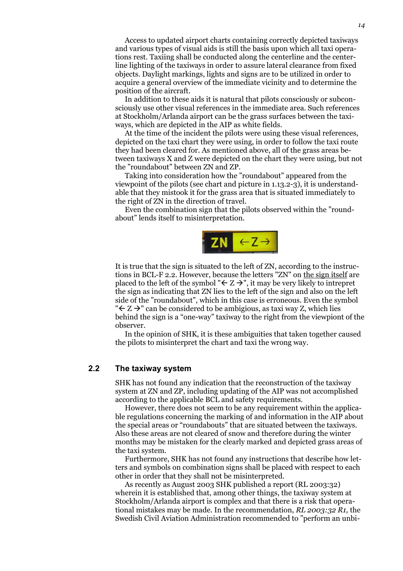Access to updated airport charts containing correctly depicted taxiways and various types of visual aids is still the basis upon which all taxi operations rest. Taxiing shall be conducted along the centerline and the centerline lighting of the taxiways in order to assure lateral clearance from fixed objects. Daylight markings, lights and signs are to be utilized in order to acquire a general overview of the immediate vicinity and to determine the position of the aircraft.

In addition to these aids it is natural that pilots consciously or subconsciously use other visual references in the immediate area. Such references at Stockholm/Arlanda airport can be the grass surfaces between the taxiways, which are depicted in the AIP as white fields.

At the time of the incident the pilots were using these visual references, depicted on the taxi chart they were using, in order to follow the taxi route they had been cleared for. As mentioned above, all of the grass areas between taxiways X and Z were depicted on the chart they were using, but not the "roundabout" between ZN and ZP.

Taking into consideration how the "roundabout" appeared from the viewpoint of the pilots (see chart and picture in 1.13.2-3), it is understandable that they mistook it for the grass area that is situated immediately to the right of ZN in the direction of travel.

Even the combination sign that the pilots observed within the "roundabout" lends itself to misinterpretation.



It is true that the sign is situated to the left of ZN, according to the instructions in BCL-F 2.2. However, because the letters "ZN" on the sign itself are placed to the left of the symbol " $\leq Z \rightarrow$ ", it may be very likely to intrepret the sign as indicating that ZN lies to the left of the sign and also on the left side of the "roundabout", which in this case is erroneous. Even the symbol " $\leq$   $\geq$ " can be considered to be ambigious, as taxi way Z, which lies behind the sign is a "one-way" taxiway to the right from the viewpiont of the observer.

In the opinion of SHK, it is these ambiguities that taken together caused the pilots to misinterpret the chart and taxi the wrong way.

### **2.2 The taxiway system**

SHK has not found any indication that the reconstruction of the taxiway system at ZN and ZP, including updating of the AIP was not accomplished according to the applicable BCL and safety requirements.

However, there does not seem to be any requirement within the applicable regulations concerning the marking of and information in the AIP about the special areas or "roundabouts" that are situated between the taxiways. Also these areas are not cleared of snow and therefore during the winter months may be mistaken for the clearly marked and depicted grass areas of the taxi system.

Furthermore, SHK has not found any instructions that describe how letters and symbols on combination signs shall be placed with respect to each other in order that they shall not be misinterpreted.

As recently as August 2003 SHK published a report (RL 2003:32) wherein it is established that, among other things, the taxiway system at Stockholm/Arlanda airport is complex and that there is a risk that operational mistakes may be made. In the recommendation, *RL 2003:32 R1,* the Swedish Civil Aviation Administration recommended to "perform an unbi-